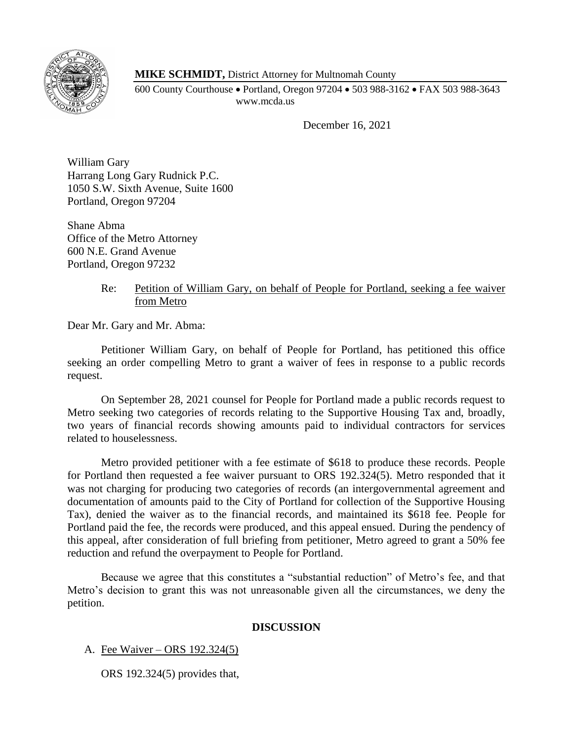

**MIKE SCHMIDT,** District Attorney for Multnomah County

600 County Courthouse • Portland, Oregon 97204 • 503 988-3162 • FAX 503 988-3643 www.mcda.us

December 16, 2021

William Gary Harrang Long Gary Rudnick P.C. 1050 S.W. Sixth Avenue, Suite 1600 Portland, Oregon 97204

Shane Abma Office of the Metro Attorney 600 N.E. Grand Avenue Portland, Oregon 97232

## Re: Petition of William Gary, on behalf of People for Portland, seeking a fee waiver from Metro

Dear Mr. Gary and Mr. Abma:

Petitioner William Gary, on behalf of People for Portland, has petitioned this office seeking an order compelling Metro to grant a waiver of fees in response to a public records request.

On September 28, 2021 counsel for People for Portland made a public records request to Metro seeking two categories of records relating to the Supportive Housing Tax and, broadly, two years of financial records showing amounts paid to individual contractors for services related to houselessness.

Metro provided petitioner with a fee estimate of \$618 to produce these records. People for Portland then requested a fee waiver pursuant to ORS 192.324(5). Metro responded that it was not charging for producing two categories of records (an intergovernmental agreement and documentation of amounts paid to the City of Portland for collection of the Supportive Housing Tax), denied the waiver as to the financial records, and maintained its \$618 fee. People for Portland paid the fee, the records were produced, and this appeal ensued. During the pendency of this appeal, after consideration of full briefing from petitioner, Metro agreed to grant a 50% fee reduction and refund the overpayment to People for Portland.

Because we agree that this constitutes a "substantial reduction" of Metro's fee, and that Metro's decision to grant this was not unreasonable given all the circumstances, we deny the petition.

## **DISCUSSION**

## A. Fee Waiver – ORS 192.324(5)

ORS 192.324(5) provides that,